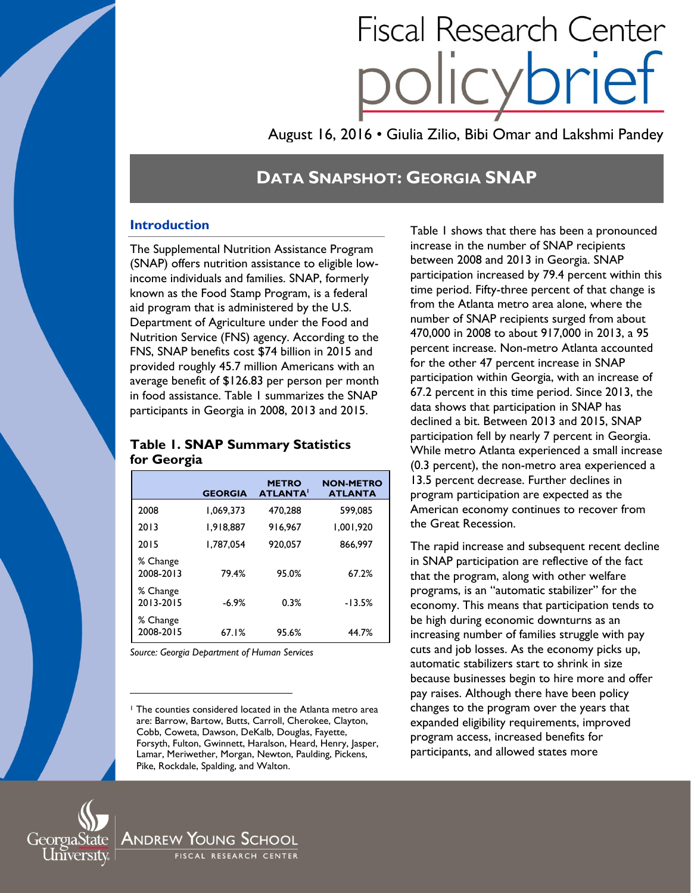# **Fiscal Research Center**

August 16, 2016 • Giulia Zilio, Bibi Omar and Lakshmi Pandey

# **DATA SNAPSHOT: GEORGIA SNAP**

# **Introduction**

The Supplemental Nutrition Assistance Program (SNAP) offers nutrition assistance to eligible lowincome individuals and families. SNAP, formerly known as the Food Stamp Program, is a federal aid program that is administered by the U.S. Department of Agriculture under the Food and Nutrition Service (FNS) agency. According to the FNS, SNAP benefits cost \$74 billion in 2015 and provided roughly 45.7 million Americans with an average benefit of \$126.83 per person per month in food assistance. Table 1 summarizes the SNAP participants in Georgia in 2008, 2013 and 2015.

## **Table 1. SNAP Summary Statistics for Georgia**

|                       | <b>GEORGIA</b> | <b>METRO</b><br><b>ATLANTA</b> | <b>NON-METRO</b><br><b>ATLANTA</b> |
|-----------------------|----------------|--------------------------------|------------------------------------|
| 2008                  | 1,069,373      | 470.288                        | 599.085                            |
| 2013                  | 1.918.887      | 916.967                        | 1.001.920                          |
| 2015                  | 1.787.054      | 920.057                        | 866.997                            |
| % Change<br>2008-2013 | 79.4%          | 95.0%                          | 67.2%                              |
| % Change<br>2013-2015 | $-6.9%$        | 0.3%                           | $-13.5%$                           |
| % Change<br>2008-2015 | 67.1%          | 95.6%                          | 44.7%                              |

*Source: Georgia Department of Human Services*

Table 1 shows that there has been a pronounced increase in the number of SNAP recipients between 2008 and 2013 in Georgia. SNAP participation increased by 79.4 percent within this time period. Fifty-three percent of that change is from the Atlanta metro area alone, where the number of SNAP recipients surged from about 470,000 in 2008 to about 917,000 in 2013, a 95 percent increase. Non-metro Atlanta accounted for the other 47 percent increase in SNAP participation within Georgia, with an increase of 67.2 percent in this time period. Since 2013, the data shows that participation in SNAP has declined a bit. Between 2013 and 2015, SNAP participation fell by nearly 7 percent in Georgia. While metro Atlanta experienced a small increase (0.3 percent), the non-metro area experienced a 13.5 percent decrease. Further declines in program participation are expected as the American economy continues to recover from the Great Recession.

The rapid increase and subsequent recent decline in SNAP participation are reflective of the fact that the program, along with other welfare programs, is an "automatic stabilizer" for the economy. This means that participation tends to be high during economic downturns as an increasing number of families struggle with pay cuts and job losses. As the economy picks up, automatic stabilizers start to shrink in size because businesses begin to hire more and offer pay raises. Although there have been policy changes to the program over the years that expanded eligibility requirements, improved program access, increased benefits for participants, and allowed states more



 $\overline{a}$ 

Andrew Young School FISCAL RESEARCH CENTER

<sup>1</sup> The counties considered located in the Atlanta metro area are: Barrow, Bartow, Butts, Carroll, Cherokee, Clayton, Cobb, Coweta, Dawson, DeKalb, Douglas, Fayette, Forsyth, Fulton, Gwinnett, Haralson, Heard, Henry, Jasper, Lamar, Meriwether, Morgan, Newton, Paulding, Pickens, Pike, Rockdale, Spalding, and Walton.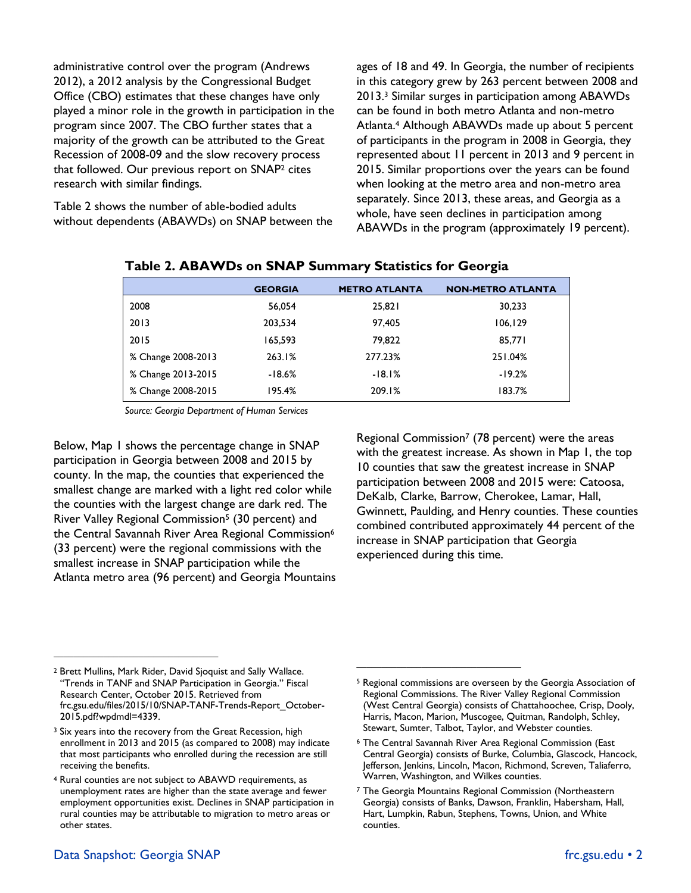administrative control over the program (Andrews 2012), a 2012 analysis by the Congressional Budget Office (CBO) estimates that these changes have only played a minor role in the growth in participation in the program since 2007. The CBO further states that a majority of the growth can be attributed to the Great Recession of 2008-09 and the slow recovery process that followed. Our previous report on SNAP<sup>2</sup> cites research with similar findings.

Table 2 shows the number of able-bodied adults without dependents (ABAWDs) on SNAP between the ages of 18 and 49. In Georgia, the number of recipients in this category grew by 263 percent between 2008 and 2013.<sup>3</sup> Similar surges in participation among ABAWDs can be found in both metro Atlanta and non-metro Atlanta.<sup>4</sup> Although ABAWDs made up about 5 percent of participants in the program in 2008 in Georgia, they represented about 11 percent in 2013 and 9 percent in 2015. Similar proportions over the years can be found when looking at the metro area and non-metro area separately. Since 2013, these areas, and Georgia as a whole, have seen declines in participation among ABAWDs in the program (approximately 19 percent).

|                    | <b>GEORGIA</b> | <b>METRO ATLANTA</b> | <b>NON-METRO ATLANTA</b> |
|--------------------|----------------|----------------------|--------------------------|
| 2008               | 56.054         | 25,821               | 30,233                   |
| 2013               | 203,534        | 97,405               | 106, 129                 |
| 2015               | 165,593        | 79,822               | 85,771                   |
| % Change 2008-2013 | 263.1%         | 277.23%              | 251.04%                  |
| % Change 2013-2015 | -18.6%         | $-18.1%$             | $-19.2%$                 |
| % Change 2008-2015 | 195.4%         | 209.1%               | 183.7%                   |

### **Table 2. ABAWDs on SNAP Summary Statistics for Georgia**

*Source: Georgia Department of Human Services*

Below, Map 1 shows the percentage change in SNAP participation in Georgia between 2008 and 2015 by county. In the map, the counties that experienced the smallest change are marked with a light red color while the counties with the largest change are dark red. The River Valley Regional Commission<sup>5</sup> (30 percent) and the Central Savannah River Area Regional Commission<sup>6</sup> (33 percent) were the regional commissions with the smallest increase in SNAP participation while the Atlanta metro area (96 percent) and Georgia Mountains Regional Commission<sup>7</sup> (78 percent) were the areas with the greatest increase. As shown in Map 1, the top 10 counties that saw the greatest increase in SNAP participation between 2008 and 2015 were: Catoosa, DeKalb, Clarke, Barrow, Cherokee, Lamar, Hall, Gwinnett, Paulding, and Henry counties. These counties combined contributed approximately 44 percent of the increase in SNAP participation that Georgia experienced during this time.

 $\mathcal{L}_\text{max}$ 

 $\mathcal{L}_\text{max}$  , where  $\mathcal{L}_\text{max}$  and  $\mathcal{L}_\text{max}$  and  $\mathcal{L}_\text{max}$ 

<sup>2</sup> Brett Mullins, Mark Rider, David Sjoquist and Sally Wallace. "Trends in TANF and SNAP Participation in Georgia." Fiscal Research Center, October 2015. Retrieved from [frc.gsu.edu/files/2015/10/SNAP-TANF-Trends-Report\\_October-](http://frc.gsu.edu/files/2015/10/SNAP-TANF-Trends-Report_October-2015.pdf?wpdmdl=4339)[2015.pdf?wpdmdl=4339.](http://frc.gsu.edu/files/2015/10/SNAP-TANF-Trends-Report_October-2015.pdf?wpdmdl=4339) 

<sup>&</sup>lt;sup>3</sup> Six years into the recovery from the Great Recession, high enrollment in 2013 and 2015 (as compared to 2008) may indicate that most participants who enrolled during the recession are still receiving the benefits.

<sup>4</sup> Rural counties are not subject to ABAWD requirements, as unemployment rates are higher than the state average and fewer employment opportunities exist. Declines in SNAP participation in rural counties may be attributable to migration to metro areas or other states.

Data Snapshot: Georgia SNAP [frc.gsu.edu](http://frc.gsu.edu/) • 2

<sup>5</sup> Regional commissions are overseen by the Georgia Association of Regional Commissions. The River Valley Regional Commission (West Central Georgia) consists of Chattahoochee, Crisp, Dooly, Harris, Macon, Marion, Muscogee, Quitman, Randolph, Schley, Stewart, Sumter, Talbot, Taylor, and Webster counties.

<sup>6</sup> The Central Savannah River Area Regional Commission (East Central Georgia) consists of Burke, Columbia, Glascock, Hancock, Jefferson, Jenkins, Lincoln, Macon, Richmond, Screven, Taliaferro, Warren, Washington, and Wilkes counties.

<sup>7</sup> The Georgia Mountains Regional Commission (Northeastern Georgia) consists of Banks, Dawson, Franklin, Habersham, Hall, Hart, Lumpkin, Rabun, Stephens, Towns, Union, and White counties.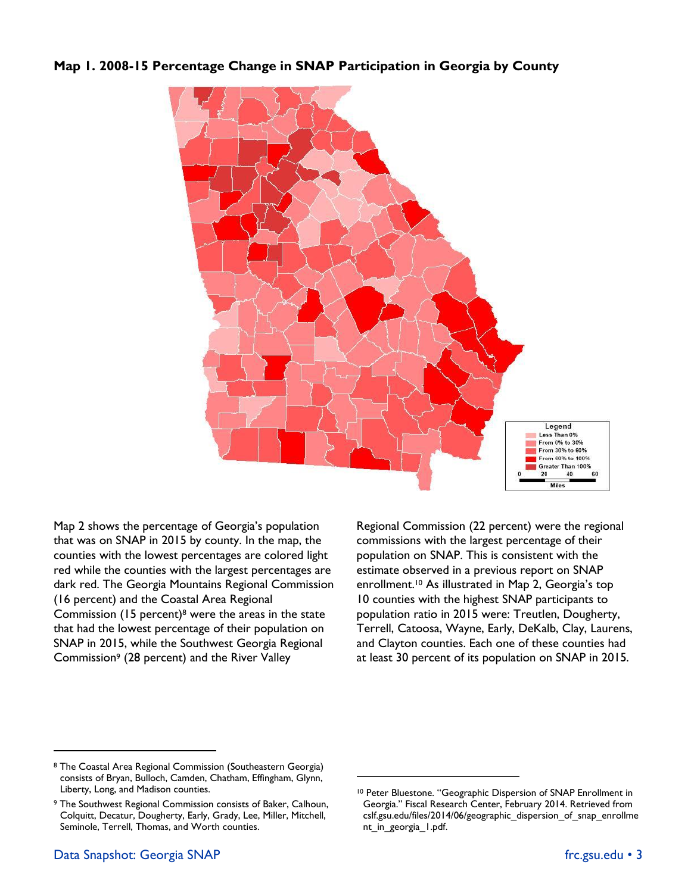**Map 1. 2008-15 Percentage Change in SNAP Participation in Georgia by County** 



Map 2 shows the percentage of Georgia's population that was on SNAP in 2015 by county. In the map, the counties with the lowest percentages are colored light red while the counties with the largest percentages are dark red. The Georgia Mountains Regional Commission (16 percent) and the Coastal Area Regional Commission  $(15$  percent)<sup>8</sup> were the areas in the state that had the lowest percentage of their population on SNAP in 2015, while the Southwest Georgia Regional Commission<sup>9</sup> (28 percent) and the River Valley

Regional Commission (22 percent) were the regional commissions with the largest percentage of their population on SNAP. This is consistent with the estimate observed in a previous report on SNAP enrollment.<sup>10</sup> As illustrated in Map 2, Georgia's top 10 counties with the highest SNAP participants to population ratio in 2015 were: Treutlen, Dougherty, Terrell, Catoosa, Wayne, Early, DeKalb, Clay, Laurens, and Clayton counties. Each one of these counties had at least 30 percent of its population on SNAP in 2015.

 $\overline{a}$ 

<sup>8</sup> The Coastal Area Regional Commission (Southeastern Georgia) consists of Bryan, Bulloch, Camden, Chatham, Effingham, Glynn, Liberty, Long, and Madison counties.

<sup>9</sup> The Southwest Regional Commission consists of Baker, Calhoun, Colquitt, Decatur, Dougherty, Early, Grady, Lee, Miller, Mitchell, Seminole, Terrell, Thomas, and Worth counties.

<sup>10</sup> Peter Bluestone. "Geographic Dispersion of SNAP Enrollment in Georgia." Fiscal Research Center, February 2014. Retrieved from [cslf.gsu.edu/files/2014/06/geographic\\_dispersion\\_of\\_snap\\_enrollme](http://cslf.gsu.edu/files/2014/06/geographic_dispersion_of_snap_enrollment_in_georgia_1.pdf) nt in georgia 1.pdf.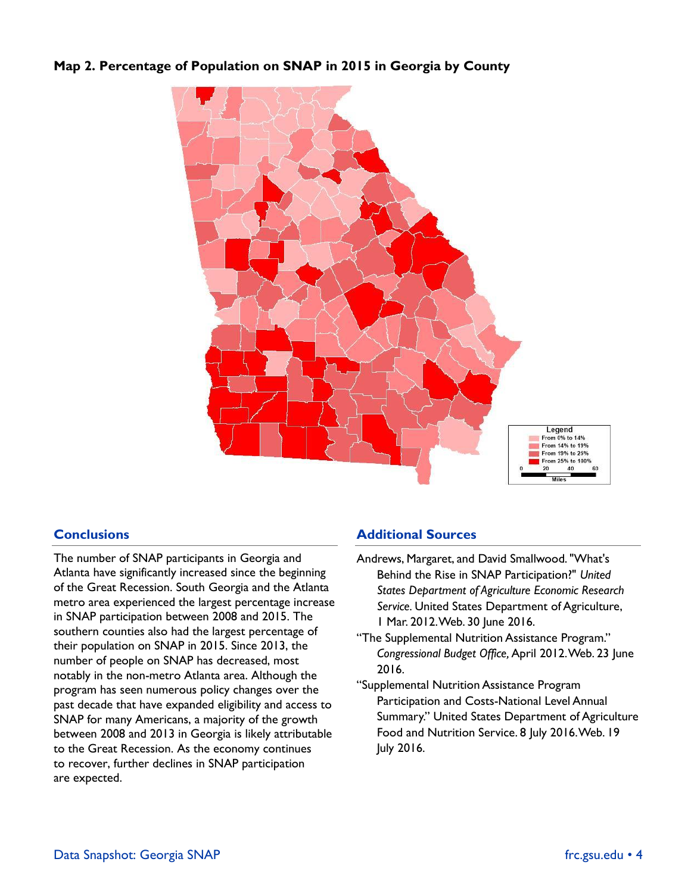# **Map 2. Percentage of Population on SNAP in 2015 in Georgia by County**



# **Conclusions**

The number of SNAP participants in Georgia and Atlanta have significantly increased since the beginning of the Great Recession. South Georgia and the Atlanta metro area experienced the largest percentage increase in SNAP participation between 2008 and 2015. The southern counties also had the largest percentage of their population on SNAP in 2015. Since 2013, the number of people on SNAP has decreased, most notably in the non-metro Atlanta area. Although the program has seen numerous policy changes over the past decade that have expanded eligibility and access to SNAP for many Americans, a majority of the growth between 2008 and 2013 in Georgia is likely attributable to the Great Recession. As the economy continues to recover, further declines in SNAP participation are expected.

## **Additional Sources**

- Andrews, Margaret, and David Smallwood. "What's Behind the Rise in SNAP Participation?" *United States Department of Agriculture Economic Research Service.* United States Department of Agriculture, 1 Mar. 2012. Web. 30 June 2016.
- "The Supplemental Nutrition Assistance Program." *Congressional Budget Office,*April 2012. Web. 23 June 2016.
- "Supplemental Nutrition Assistance Program Participation and Costs-National Level Annual Summary." United States Department of Agriculture Food and Nutrition Service. 8 July 2016. Web. 19 July 2016.